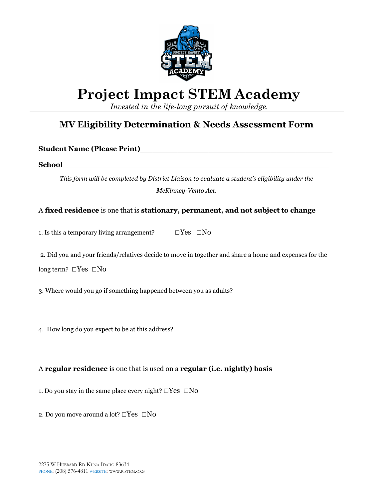

# **Project Impact STEM Academy**

*Invested in the life-long pursuit of knowledge.*

## **MV Eligibility Determination & Needs Assessment Form**

**Student Name (Please Print)\_\_\_\_\_\_\_\_\_\_\_\_\_\_\_\_\_\_\_\_\_\_\_\_\_\_\_\_\_\_\_**

**School\_\_\_\_\_\_\_\_\_\_\_\_\_\_\_\_\_\_\_\_\_\_\_\_\_\_\_\_\_\_\_\_\_\_\_\_\_\_\_\_\_\_\_**

*This form will be completed by District Liaison to evaluate a student's eligibility under the McKinney-Vento Act.*

A **fixed residence** is one that is **stationary, permanent, and not subject to change**

1. Is this a temporary living arrangement?  $\square$  Yes  $\square$  No

2. Did you and your friends/relatives decide to move in together and share a home and expenses for the long term? □Yes □No

3. Where would you go if something happened between you as adults?

4. How long do you expect to be at this address?

### A **regular residence** is one that is used on a **regular (i.e. nightly) basis**

1. Do you stay in the same place every night?  $\square Yes \ \square No$ 

2. Do you move around a lot? □Yes □No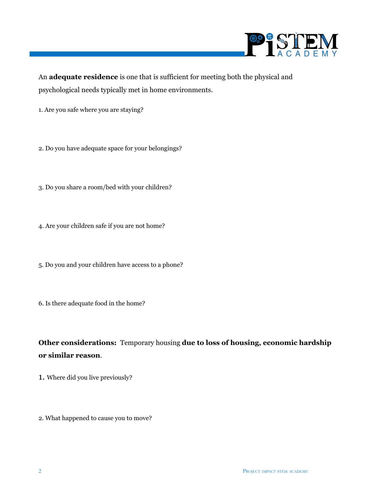

An **adequate residence** is one that is sufficient for meeting both the physical and psychological needs typically met in home environments.

- 1. Are you safe where you are staying?
- 2. Do you have adequate space for your belongings?
- 3. Do you share a room/bed with your children?
- 4. Are your children safe if you are not home?
- 5. Do you and your children have access to a phone?
- 6. Is there adequate food in the home?
- **Other considerations:** Temporary housing **due to loss of housing, economic hardship or similar reason**.
- 1. Where did you live previously?
- 2. What happened to cause you to move?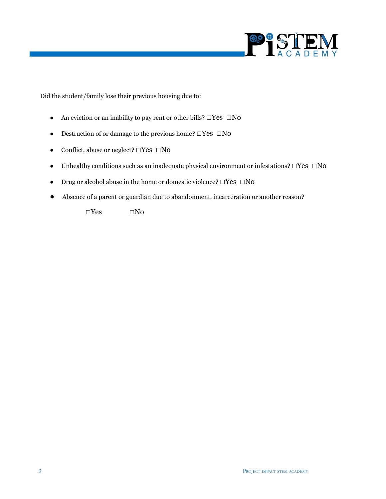

Did the student/family lose their previous housing due to:

- An eviction or an inability to pay rent or other bills?  $\square$ Yes  $\square$ No
- Destruction of or damage to the previous home?  $\square$ Yes  $\square$ No
- Conflict, abuse or neglect? □Yes □No
- Unhealthy conditions such as an inadequate physical environment or infestations? □Yes □No
- Drug or alcohol abuse in the home or domestic violence? □Yes □No
- Absence of a parent or guardian due to abandonment, incarceration or another reason?

 $\square Yes \qquad \qquad \square No$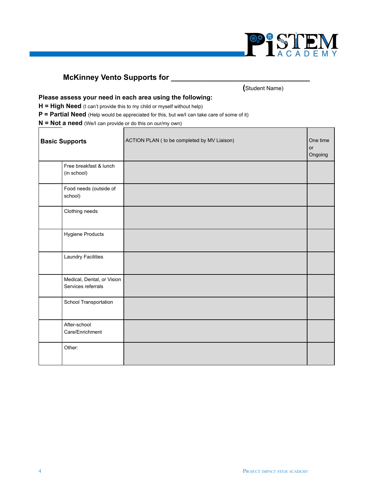

## **McKinney Vento Supports for \_\_\_\_\_\_\_\_\_\_\_\_\_\_\_\_\_\_\_\_\_\_\_\_\_\_\_\_\_\_\_\_\_**

**(**Student Name)

#### **Please assess your need in each area using the following:**

**H = High Need** (I can't provide this to my child or myself without help)

г

**P = Partial Need** (Help would be appreciated for this, but we/I can take care of some of it)

**N = Not a need** (We/I can provide or do this on our/my own)

| <b>Basic Supports</b>                            | ACTION PLAN ( to be completed by MV Liaison) | One time<br>or<br>Ongoing |
|--------------------------------------------------|----------------------------------------------|---------------------------|
| Free breakfast & lunch<br>(in school)            |                                              |                           |
| Food needs (outside of<br>school)                |                                              |                           |
| Clothing needs                                   |                                              |                           |
| Hygiene Products                                 |                                              |                           |
| <b>Laundry Facilities</b>                        |                                              |                           |
| Medical, Dental, or Vision<br>Services referrals |                                              |                           |
| School Transportation                            |                                              |                           |
| After-school<br>Care/Enrichment                  |                                              |                           |
| Other:                                           |                                              |                           |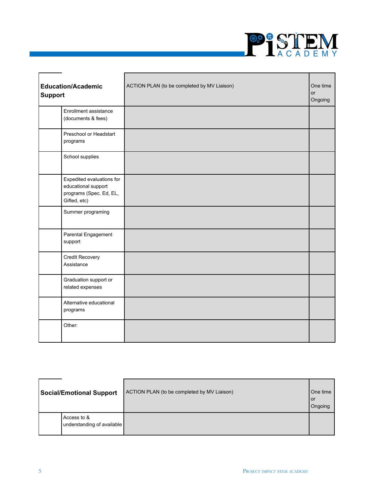

| <b>Education/Academic</b><br><b>Support</b>                                                 | ACTION PLAN (to be completed by MV Liaison) | One time<br><b>or</b><br>Ongoing |
|---------------------------------------------------------------------------------------------|---------------------------------------------|----------------------------------|
| Enrollment assistance<br>(documents & fees)                                                 |                                             |                                  |
| Preschool or Headstart<br>programs                                                          |                                             |                                  |
| School supplies                                                                             |                                             |                                  |
| Expedited evaluations for<br>educational support<br>programs (Spec. Ed, EL,<br>Gifted, etc) |                                             |                                  |
| Summer programing                                                                           |                                             |                                  |
| Parental Engagement<br>support                                                              |                                             |                                  |
| Credit Recovery<br>Assistance                                                               |                                             |                                  |
| Graduation support or<br>related expenses                                                   |                                             |                                  |
| Alternative educational<br>programs                                                         |                                             |                                  |
| Other:                                                                                      |                                             |                                  |

| <b>Social/Emotional Support</b>           | ACTION PLAN (to be completed by MV Liaison) | One time<br>l or<br>Ongoing |
|-------------------------------------------|---------------------------------------------|-----------------------------|
| Access to &<br>understanding of available |                                             |                             |